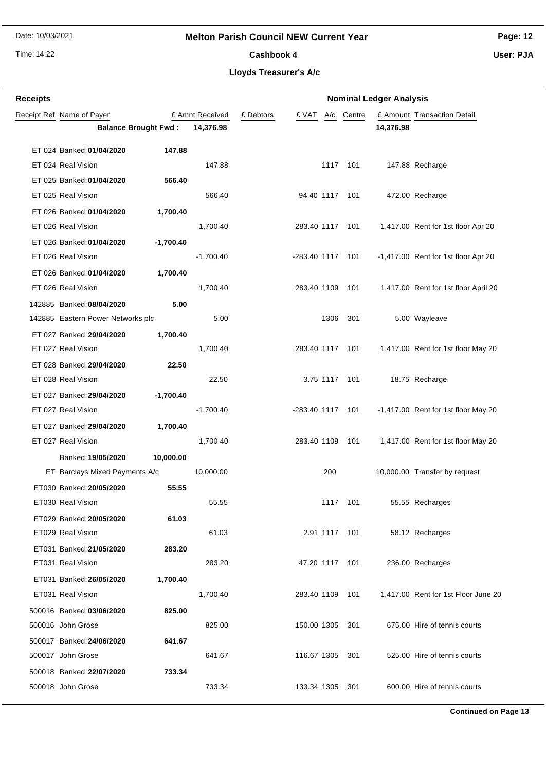# **Melton Parish Council NEW Current Year**

Time: 14:22

# **Page: 12**

Cashbook 4

**User: PJA**

### **Lloyds Treasurer's A/c**

| <b>Receipts</b> | <b>Nominal Ledger Analysis</b>    |             |                 |           |                    |               |            |           |                                       |
|-----------------|-----------------------------------|-------------|-----------------|-----------|--------------------|---------------|------------|-----------|---------------------------------------|
|                 | Receipt Ref Name of Payer         |             | £ Amnt Received | £ Debtors | £ VAT              |               | A/c Centre |           | £ Amount Transaction Detail           |
|                 | <b>Balance Brought Fwd:</b>       |             | 14,376.98       |           |                    |               |            | 14,376.98 |                                       |
|                 | ET 024 Banked: 01/04/2020         | 147.88      |                 |           |                    |               |            |           |                                       |
|                 | ET 024 Real Vision                |             | 147.88          |           |                    | 1117          | 101        |           | 147.88 Recharge                       |
|                 | ET 025 Banked: 01/04/2020         | 566.40      |                 |           |                    |               |            |           |                                       |
|                 | ET 025 Real Vision                |             | 566.40          |           | 94.40 1117 101     |               |            |           | 472.00 Recharge                       |
|                 | ET 026 Banked: 01/04/2020         | 1,700.40    |                 |           |                    |               |            |           |                                       |
|                 | ET 026 Real Vision                |             | 1,700.40        |           | 283.40 1117        |               | 101        |           | 1,417.00 Rent for 1st floor Apr 20    |
|                 | ET 026 Banked: 01/04/2020         | $-1,700.40$ |                 |           |                    |               |            |           |                                       |
|                 | ET 026 Real Vision                |             | $-1,700.40$     |           | -283.40 1117       |               | 101        |           | -1,417.00 Rent for 1st floor Apr 20   |
|                 | ET 026 Banked: 01/04/2020         | 1,700.40    |                 |           |                    |               |            |           |                                       |
|                 | ET 026 Real Vision                |             | 1,700.40        |           | 283.40 1109        |               | 101        |           | 1,417.00 Rent for 1st floor April 20  |
|                 | 142885 Banked: 08/04/2020         | 5.00        |                 |           |                    |               |            |           |                                       |
|                 | 142885 Eastern Power Networks plc |             | 5.00            |           |                    | 1306          | 301        |           | 5.00 Wayleave                         |
|                 | ET 027 Banked: 29/04/2020         | 1,700.40    |                 |           |                    |               |            |           |                                       |
|                 | ET 027 Real Vision                |             | 1,700.40        |           | 283.40 1117        |               | 101        |           | 1,417.00 Rent for 1st floor May 20    |
|                 | ET 028 Banked: 29/04/2020         | 22.50       |                 |           |                    |               |            |           |                                       |
|                 | ET 028 Real Vision                |             | 22.50           |           |                    | 3.75 1117     | 101        |           | 18.75 Recharge                        |
|                 | ET 027 Banked: 29/04/2020         | $-1,700.40$ |                 |           |                    |               |            |           |                                       |
|                 | ET 027 Real Vision                |             | $-1,700.40$     |           | $-283.40$ 1117 101 |               |            |           | $-1,417.00$ Rent for 1st floor May 20 |
|                 | ET 027 Banked: 29/04/2020         | 1,700.40    |                 |           |                    |               |            |           |                                       |
|                 | ET 027 Real Vision                |             | 1,700.40        |           | 283.40 1109        |               | 101        |           | 1,417.00 Rent for 1st floor May 20    |
|                 | Banked: 19/05/2020                | 10,000.00   |                 |           |                    |               |            |           |                                       |
|                 | ET Barclays Mixed Payments A/c    |             | 10,000.00       |           |                    | 200           |            |           | 10,000.00 Transfer by request         |
|                 | ET030 Banked: 20/05/2020          | 55.55       |                 |           |                    |               |            |           |                                       |
|                 | ET030 Real Vision                 |             | 55.55           |           |                    | 1117          | 101        |           | 55.55 Recharges                       |
|                 | ET029 Banked: 20/05/2020          | 61.03       |                 |           |                    |               |            |           |                                       |
|                 | ET029 Real Vision                 |             | 61.03           |           |                    | 2.91 1117 101 |            |           | 58.12 Recharges                       |
|                 | ET031 Banked: 21/05/2020          | 283.20      |                 |           |                    |               |            |           |                                       |
|                 | ET031 Real Vision                 |             | 283.20          |           | 47.20 1117 101     |               |            |           | 236.00 Recharges                      |
|                 | ET031 Banked: 26/05/2020          | 1,700.40    |                 |           |                    |               |            |           |                                       |
|                 | ET031 Real Vision                 |             | 1,700.40        |           | 283.40 1109 101    |               |            |           | 1,417.00 Rent for 1st Floor June 20   |
|                 | 500016 Banked: 03/06/2020         | 825.00      |                 |           |                    |               |            |           |                                       |
|                 | 500016 John Grose                 |             | 825.00          |           | 150.00 1305        |               | 301        |           | 675.00 Hire of tennis courts          |
|                 | 500017 Banked: 24/06/2020         | 641.67      |                 |           |                    |               |            |           |                                       |
|                 | 500017 John Grose                 |             | 641.67          |           | 116.67 1305        |               | 301        |           | 525.00 Hire of tennis courts          |
|                 | 500018 Banked: 22/07/2020         | 733.34      |                 |           |                    |               |            |           |                                       |
|                 | 500018 John Grose                 |             | 733.34          |           | 133.34 1305        |               | 301        |           | 600.00 Hire of tennis courts          |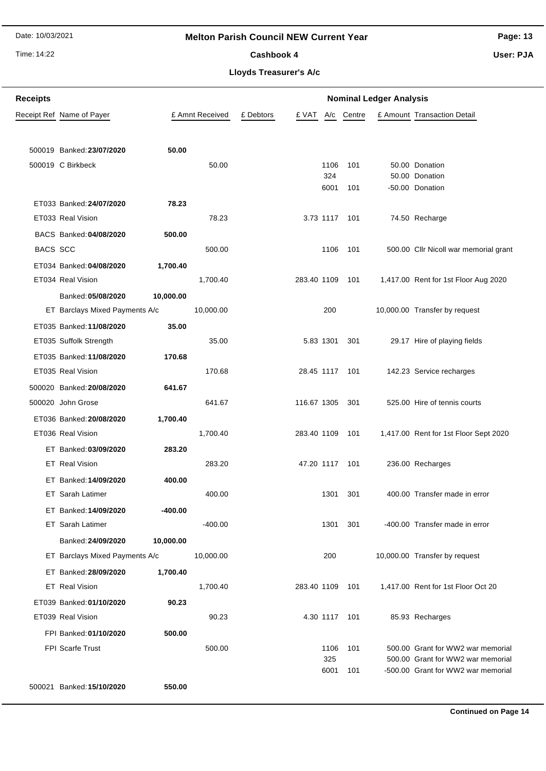# **Melton Parish Council NEW Current Year**

Time: 14:22

Cashbook 4

**Page: 13**

**User: PJA**

| <b>Receipts</b> |                                |           |                 |           | <b>Nominal Ledger Analysis</b> |             |               |  |                                                                         |  |
|-----------------|--------------------------------|-----------|-----------------|-----------|--------------------------------|-------------|---------------|--|-------------------------------------------------------------------------|--|
|                 | Receipt Ref Name of Payer      |           | £ Amnt Received | £ Debtors | £ VAT                          |             | A/c Centre    |  | £ Amount Transaction Detail                                             |  |
|                 |                                |           |                 |           |                                |             |               |  |                                                                         |  |
|                 | 500019 Banked: 23/07/2020      | 50.00     |                 |           |                                |             |               |  |                                                                         |  |
|                 | 500019 C Birkbeck              |           | 50.00           |           |                                | 1106        | 101           |  | 50.00 Donation                                                          |  |
|                 |                                |           |                 |           |                                | 324         |               |  | 50.00 Donation                                                          |  |
|                 |                                |           |                 |           |                                | 6001        | 101           |  | -50.00 Donation                                                         |  |
|                 | ET033 Banked: 24/07/2020       | 78.23     |                 |           |                                |             |               |  |                                                                         |  |
|                 | ET033 Real Vision              |           | 78.23           |           |                                |             | 3.73 1117 101 |  | 74.50 Recharge                                                          |  |
|                 | BACS Banked: 04/08/2020        | 500.00    |                 |           |                                |             |               |  |                                                                         |  |
| <b>BACS SCC</b> |                                |           | 500.00          |           |                                | 1106        | 101           |  | 500.00 Cllr Nicoll war memorial grant                                   |  |
|                 | ET034 Banked: 04/08/2020       | 1,700.40  |                 |           |                                |             |               |  |                                                                         |  |
|                 | ET034 Real Vision              |           | 1,700.40        |           | 283.40 1109                    |             | 101           |  | 1,417.00 Rent for 1st Floor Aug 2020                                    |  |
|                 | Banked: 05/08/2020             | 10,000.00 |                 |           |                                |             |               |  |                                                                         |  |
|                 | ET Barclays Mixed Payments A/c |           | 10,000.00       |           |                                | 200         |               |  | 10,000.00 Transfer by request                                           |  |
|                 | ET035 Banked: 11/08/2020       | 35.00     |                 |           |                                |             |               |  |                                                                         |  |
|                 | ET035 Suffolk Strength         |           | 35.00           |           |                                | 5.83 1301   | 301           |  | 29.17 Hire of playing fields                                            |  |
|                 | ET035 Banked: 11/08/2020       | 170.68    |                 |           |                                |             |               |  |                                                                         |  |
|                 | ET035 Real Vision              |           | 170.68          |           | 28.45 1117 101                 |             |               |  | 142.23 Service recharges                                                |  |
|                 | 500020 Banked: 20/08/2020      | 641.67    |                 |           |                                |             |               |  |                                                                         |  |
|                 | 500020 John Grose              |           | 641.67          |           | 116.67 1305                    |             | 301           |  | 525.00 Hire of tennis courts                                            |  |
|                 | ET036 Banked: 20/08/2020       | 1,700.40  |                 |           |                                |             |               |  |                                                                         |  |
|                 | ET036 Real Vision              |           | 1,700.40        |           | 283.40 1109                    |             | 101           |  | 1,417.00 Rent for 1st Floor Sept 2020                                   |  |
|                 | ET Banked: 03/09/2020          | 283.20    |                 |           |                                |             |               |  |                                                                         |  |
|                 | ET Real Vision                 |           | 283.20          |           | 47.20 1117                     |             | 101           |  | 236.00 Recharges                                                        |  |
|                 | ET Banked: 14/09/2020          | 400.00    |                 |           |                                |             |               |  |                                                                         |  |
|                 | ET Sarah Latimer               |           | 400.00          |           |                                | 1301        | 301           |  | 400.00 Transfer made in error                                           |  |
|                 | ET Banked: 14/09/2020          | $-400.00$ |                 |           |                                |             |               |  |                                                                         |  |
|                 | <b>ET</b> Sarah Latimer        |           | $-400.00$       |           |                                | 1301        | 301           |  | -400.00 Transfer made in error                                          |  |
|                 | Banked: 24/09/2020             | 10,000.00 |                 |           |                                |             |               |  |                                                                         |  |
|                 | ET Barclays Mixed Payments A/c |           | 10,000.00       |           |                                | 200         |               |  | 10,000.00 Transfer by request                                           |  |
|                 | ET Banked: 28/09/2020          | 1,700.40  |                 |           |                                |             |               |  |                                                                         |  |
|                 | <b>ET</b> Real Vision          |           | 1,700.40        |           | 283.40 1109                    |             | 101           |  | 1,417.00 Rent for 1st Floor Oct 20                                      |  |
|                 | ET039 Banked: 01/10/2020       | 90.23     |                 |           |                                |             |               |  |                                                                         |  |
|                 | ET039 Real Vision              |           | 90.23           |           |                                | 4.30 1117   | - 101         |  | 85.93 Recharges                                                         |  |
|                 | FPI Banked: 01/10/2020         | 500.00    |                 |           |                                |             |               |  |                                                                         |  |
|                 | <b>FPI Scarfe Trust</b>        |           | 500.00          |           |                                | 1106        | 101           |  | 500.00 Grant for WW2 war memorial                                       |  |
|                 |                                |           |                 |           |                                | 325<br>6001 | 101           |  | 500.00 Grant for WW2 war memorial<br>-500.00 Grant for WW2 war memorial |  |
|                 |                                |           |                 |           |                                |             |               |  |                                                                         |  |
|                 | 500021 Banked: 15/10/2020      | 550.00    |                 |           |                                |             |               |  |                                                                         |  |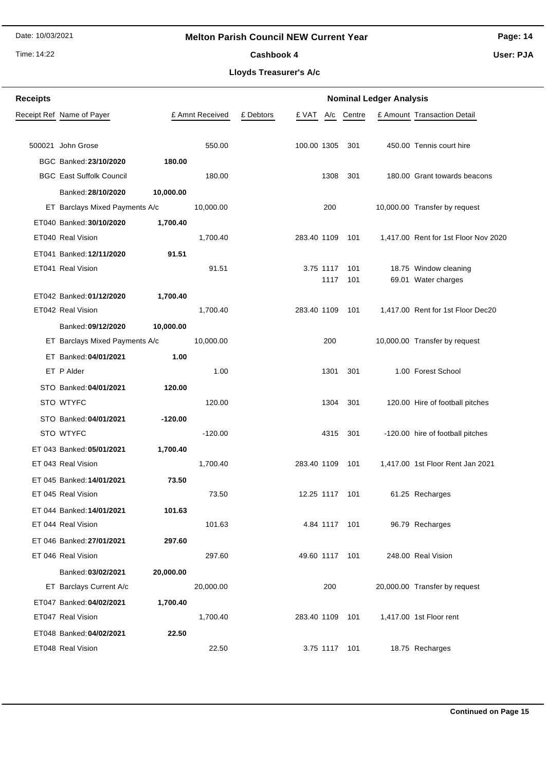# **Melton Parish Council NEW Current Year**

Time: 14:22

# **Page: 14**

Cashbook 4

**User: PJA**

| <b>Receipts</b> |                                                                 |                 |           |                 |             | <b>Nominal Ledger Analysis</b> |                                      |
|-----------------|-----------------------------------------------------------------|-----------------|-----------|-----------------|-------------|--------------------------------|--------------------------------------|
|                 | Receipt Ref Name of Payer                                       | £ Amnt Received | £ Debtors | £ VAT<br>A/c    | Centre      |                                | £ Amount Transaction Detail          |
|                 |                                                                 |                 |           |                 |             |                                |                                      |
|                 | 500021 John Grose                                               | 550.00          |           | 100.00 1305     | 301         |                                | 450.00 Tennis court hire             |
|                 | BGC Banked: 23/10/2020<br>180.00                                |                 |           |                 |             |                                |                                      |
|                 | <b>BGC East Suffolk Council</b>                                 | 180.00          |           | 1308            | 301         |                                | 180.00 Grant towards beacons         |
|                 | Banked: 28/10/2020<br>10,000.00                                 |                 |           |                 |             |                                |                                      |
|                 | ET Barclays Mixed Payments A/c                                  | 10,000.00       |           | 200             |             |                                | 10,000.00 Transfer by request        |
|                 | ET040 Banked: 30/10/2020<br>1,700.40                            |                 |           |                 |             |                                |                                      |
|                 | ET040 Real Vision                                               | 1,700.40        |           | 283.40 1109     | 101         |                                | 1,417.00 Rent for 1st Floor Nov 2020 |
|                 | ET041 Banked: 12/11/2020<br>91.51                               |                 |           |                 |             |                                |                                      |
|                 | ET041 Real Vision                                               | 91.51           |           | 3.75 1117       | 101         |                                | 18.75 Window cleaning                |
|                 |                                                                 |                 |           | 1117            | 101         |                                | 69.01 Water charges                  |
|                 | ET042 Banked: 01/12/2020<br>1,700.40                            |                 |           |                 |             |                                |                                      |
|                 | ET042 Real Vision                                               | 1,700.40        |           | 283.40 1109     | 101         |                                | 1,417.00 Rent for 1st Floor Dec20    |
|                 | Banked: 09/12/2020<br>10,000.00                                 |                 |           |                 |             |                                |                                      |
|                 | ET Barclays Mixed Payments A/c<br>ET Banked: 04/01/2021<br>1.00 | 10,000.00       |           | 200             |             |                                | 10,000.00 Transfer by request        |
|                 | ET P Alder                                                      | 1.00            |           | 1301            | 301         |                                | 1.00 Forest School                   |
|                 | STO Banked: 04/01/2021<br>120.00                                |                 |           |                 |             |                                |                                      |
|                 | STO WTYFC                                                       | 120.00          |           | 1304            | 301         |                                | 120.00 Hire of football pitches      |
|                 | STO Banked: 04/01/2021<br>$-120.00$                             |                 |           |                 |             |                                |                                      |
|                 | STO WTYFC                                                       | $-120.00$       |           |                 | 4315<br>301 |                                | -120.00 hire of football pitches     |
|                 | ET 043 Banked: 05/01/2021<br>1,700.40                           |                 |           |                 |             |                                |                                      |
|                 | ET 043 Real Vision                                              | 1,700.40        |           | 283.40 1109     | 101         |                                | 1,417.00 1st Floor Rent Jan 2021     |
|                 | 73.50<br>ET 045 Banked: 14/01/2021                              |                 |           |                 |             |                                |                                      |
|                 | ET 045 Real Vision                                              | 73.50           |           | 12.25 1117      | 101         |                                | 61.25 Recharges                      |
|                 | 101.63<br>ET 044 Banked: 14/01/2021                             |                 |           |                 |             |                                |                                      |
|                 | ET 044 Real Vision                                              | 101.63          |           | 4.84 1117 101   |             |                                | 96.79 Recharges                      |
|                 | ET 046 Banked: 27/01/2021<br>297.60                             |                 |           |                 |             |                                |                                      |
|                 | ET 046 Real Vision                                              | 297.60          |           | 49.60 1117 101  |             |                                | 248.00 Real Vision                   |
|                 | Banked: 03/02/2021<br>20,000.00                                 |                 |           |                 |             |                                |                                      |
|                 | ET Barclays Current A/c                                         | 20,000.00       |           | 200             |             |                                | 20,000.00 Transfer by request        |
|                 | ET047 Banked: 04/02/2021<br>1,700.40                            |                 |           |                 |             |                                |                                      |
|                 | ET047 Real Vision                                               | 1,700.40        |           | 283.40 1109 101 |             |                                | 1,417.00 1st Floor rent              |
|                 | ET048 Banked: 04/02/2021<br>22.50                               |                 |           |                 |             |                                |                                      |
|                 | ET048 Real Vision                                               | 22.50           |           | 3.75 1117 101   |             |                                | 18.75 Recharges                      |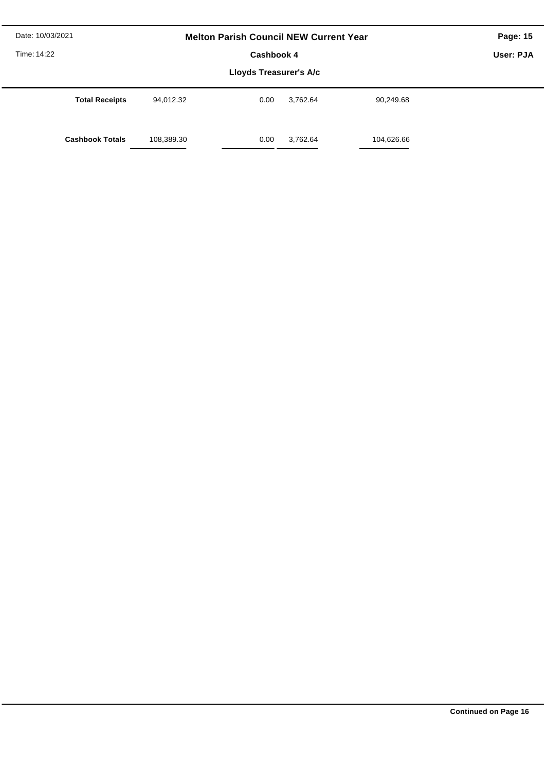| Date: 10/03/2021       | <b>Melton Parish Council NEW Current Year</b> | Page: 15   |          |            |  |  |  |  |
|------------------------|-----------------------------------------------|------------|----------|------------|--|--|--|--|
| Time: 14:22            |                                               | Cashbook 4 |          |            |  |  |  |  |
|                        |                                               |            |          |            |  |  |  |  |
| <b>Total Receipts</b>  | 94,012.32                                     | 0.00       | 3,762.64 | 90,249.68  |  |  |  |  |
| <b>Cashbook Totals</b> | 108,389.30                                    | 0.00       | 3,762.64 | 104,626.66 |  |  |  |  |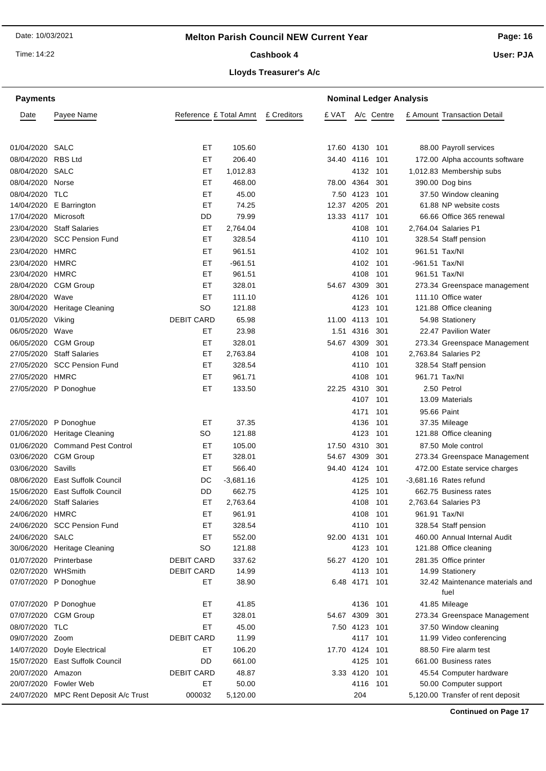Time: 14:22

**Payments**

**Page: 16**

Cashbook 4

**Lloyds Treasurer's A/c**

**Nominal Ledger Analysis**

**User: PJA**

| Date              | Payee Name                            | Reference £ Total Amnt |                     | £ Creditors | £ VAT          |              | A/c Centre |                | £ Amount Transaction Detail                     |
|-------------------|---------------------------------------|------------------------|---------------------|-------------|----------------|--------------|------------|----------------|-------------------------------------------------|
| 01/04/2020 SALC   |                                       | EТ                     | 105.60              |             | 17.60 4130 101 |              |            |                | 88.00 Payroll services                          |
| 08/04/2020        | <b>RBS Ltd</b>                        | ET                     | 206.40              |             | 34.40 4116     |              | 101        |                | 172.00 Alpha accounts software                  |
| 08/04/2020        | SALC                                  | ET                     | 1,012.83            |             |                | 4132         | 101        |                | 1,012.83 Membership subs                        |
| 08/04/2020        | Norse                                 | EТ                     | 468.00              |             | 78.00 4364     |              | 301        |                | 390.00 Dog bins                                 |
| 08/04/2020        | TLC                                   | EТ                     | 45.00               |             |                | 7.50 4123    | 101        |                |                                                 |
| 14/04/2020        | E Barrington                          | ET                     | 74.25               |             | 12.37 4205     |              | 201        |                | 37.50 Window cleaning<br>61.88 NP website costs |
| 17/04/2020        | Microsoft                             | DD                     | 79.99               |             | 13.33 4117     |              | 101        |                | 66.66 Office 365 renewal                        |
| 23/04/2020        | <b>Staff Salaries</b>                 | ET                     | 2,764.04            |             |                | 4108         | 101        |                | 2,764.04 Salaries P1                            |
|                   | 23/04/2020 SCC Pension Fund           | ET                     | 328.54              |             |                | 4110         | 101        |                | 328.54 Staff pension                            |
| 23/04/2020        | HMRC                                  | ET                     | 961.51              |             |                | 4102         | 101        |                | 961.51 Tax/NI                                   |
|                   |                                       |                        |                     |             |                |              |            |                |                                                 |
| 23/04/2020        | <b>HMRC</b><br>HMRC                   | ET<br>EТ               | $-961.51$<br>961.51 |             |                | 4102<br>4108 | 101<br>101 | -961.51 Tax/NI | 961.51 Tax/NI                                   |
| 23/04/2020        | 28/04/2020 CGM Group                  | ET                     | 328.01              |             | 54.67          | 4309         | 301        |                | 273.34 Greenspace management                    |
|                   |                                       | ET                     |                     |             |                |              |            |                | 111.10 Office water                             |
| 28/04/2020        | Wave<br><b>Heritage Cleaning</b>      | <b>SO</b>              | 111.10<br>121.88    |             |                | 4126<br>4123 | 101        |                |                                                 |
| 30/04/2020        |                                       |                        |                     |             |                |              | 101        |                | 121.88 Office cleaning                          |
| 01/05/2020 Viking |                                       | <b>DEBIT CARD</b>      | 65.98               |             | 11.00 4113     |              | 101        |                | 54.98 Stationery                                |
| 06/05/2020        | Wave                                  | EТ                     | 23.98               |             | 1.51           | 4316         | 301        |                | 22.47 Pavilion Water                            |
| 06/05/2020        | <b>CGM Group</b>                      | EТ                     | 328.01              |             | 54.67 4309     |              | 301        |                | 273.34 Greenspace Management                    |
| 27/05/2020        | <b>Staff Salaries</b>                 | ET                     | 2,763.84            |             |                | 4108         | 101        |                | 2,763.84 Salaries P2                            |
| 27/05/2020        | <b>SCC Pension Fund</b>               | EТ                     | 328.54              |             |                | 4110         | 101        |                | 328.54 Staff pension                            |
| 27/05/2020        | <b>HMRC</b>                           | ET                     | 961.71              |             |                | 4108         | 101        |                | 961.71 Tax/NI                                   |
|                   | 27/05/2020 P Donoghue                 | EТ                     | 133.50              |             | 22.25          | 4310         | 301        |                | 2.50 Petrol                                     |
|                   |                                       |                        |                     |             |                | 4107         | 101        |                | 13.09 Materials                                 |
|                   |                                       |                        |                     |             |                | 4171         | 101        | 95.66 Paint    |                                                 |
| 27/05/2020        | P Donoghue                            | EТ                     | 37.35               |             |                | 4136         | 101        |                | 37.35 Mileage                                   |
| 01/06/2020        | <b>Heritage Cleaning</b>              | SO                     | 121.88              |             |                | 4123         | 101        |                | 121.88 Office cleaning                          |
| 01/06/2020        | <b>Command Pest Control</b>           | EТ                     | 105.00              |             | 17.50          | 4310         | 301        |                | 87.50 Mole control                              |
|                   | 03/06/2020 CGM Group                  | EТ                     | 328.01              |             | 54.67 4309     |              | 301        |                | 273.34 Greenspace Management                    |
| 03/06/2020        | Savills                               | EТ                     | 566.40              |             | 94.40 4124     |              | 101        |                | 472.00 Estate service charges                   |
| 08/06/2020        | <b>East Suffolk Council</b>           | DC                     | $-3,681.16$         |             |                | 4125         | 101        |                | -3,681.16 Rates refund                          |
| 15/06/2020        | <b>East Suffolk Council</b>           | DD                     | 662.75              |             |                | 4125         | 101        |                | 662.75 Business rates                           |
| 24/06/2020        | <b>Staff Salaries</b>                 | ET                     | 2,763.64            |             |                | 4108         | 101        |                | 2,763.64 Salaries P3                            |
| 24/06/2020        | <b>HMRC</b>                           | ET                     | 961.91              |             |                | 4108         | 101        |                | 961.91 Tax/NI                                   |
|                   | 24/06/2020 SCC Pension Fund           | EТ                     | 328.54              |             |                | 4110         | 101        |                | 328.54 Staff pension                            |
| 24/06/2020        | SALC                                  | EТ                     | 552.00              |             | 92.00 4131     |              | 101        |                | 460.00 Annual Internal Audit                    |
| 30/06/2020        | Heritage Cleaning                     | SO                     | 121.88              |             |                | 4123         | 101        |                | 121.88 Office cleaning                          |
| 01/07/2020        | Printerbase                           | <b>DEBIT CARD</b>      | 337.62              |             | 56.27 4120     |              | 101        |                | 281.35 Office printer                           |
| 02/07/2020        | WHSmith                               | <b>DEBIT CARD</b>      | 14.99               |             |                | 4113         | 101        |                | 14.99 Stationery                                |
| 07/07/2020        | P Donoghue                            | ET                     | 38.90               |             |                | 6.48 4171    | 101        |                | 32.42 Maintenance materials and<br>fuel         |
|                   | 07/07/2020 P Donoghue                 | EТ                     | 41.85               |             |                | 4136         | 101        |                | 41.85 Mileage                                   |
|                   | 07/07/2020 CGM Group                  | EТ                     | 328.01              |             | 54.67 4309     |              | 301        |                | 273.34 Greenspace Management                    |
| 08/07/2020 TLC    |                                       | EТ                     | 45.00               |             |                | 7.50 4123    | 101        |                | 37.50 Window cleaning                           |
| 09/07/2020 Zoom   |                                       | <b>DEBIT CARD</b>      | 11.99               |             |                | 4117         | 101        |                | 11.99 Video conferencing                        |
| 14/07/2020        | Doyle Electrical                      | EТ                     | 106.20              |             | 17.70 4124     |              | 101        |                | 88.50 Fire alarm test                           |
| 15/07/2020        | East Suffolk Council                  | DD                     | 661.00              |             |                | 4125         | 101        |                | 661.00 Business rates                           |
| 20/07/2020        | Amazon                                | <b>DEBIT CARD</b>      | 48.87               |             |                | 3.33 4120    | 101        |                | 45.54 Computer hardware                         |
| 20/07/2020        | <b>Fowler Web</b>                     | ET                     | 50.00               |             |                | 4116         | 101        |                | 50.00 Computer support                          |
|                   | 24/07/2020 MPC Rent Deposit A/c Trust | 000032                 | 5,120.00            |             |                | 204          |            |                | 5,120.00 Transfer of rent deposit               |
|                   |                                       |                        |                     |             |                |              |            |                |                                                 |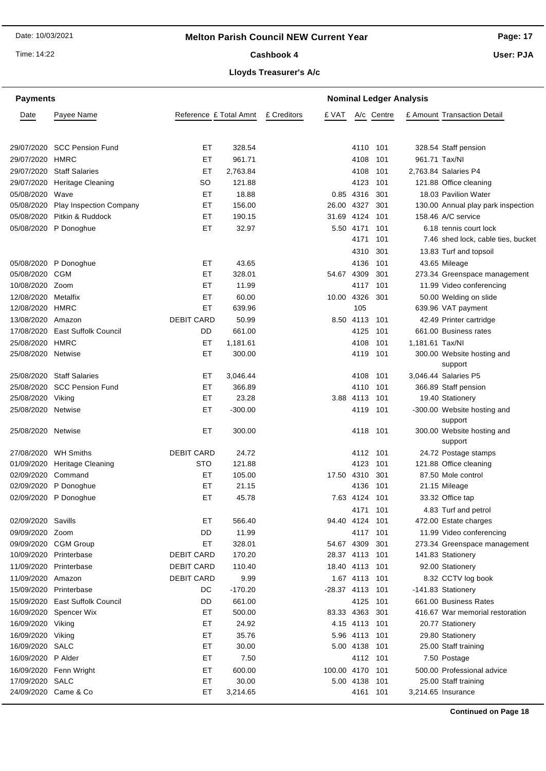Time: 14:22

# **Page: 17**

Cashbook 4

**User: PJA**

# **Lloyds Treasurer's A/c**

| <b>Payments</b>        |                                 |                        | <b>Nominal Ledger Analysis</b> |             |                |               |            |                 |                                        |
|------------------------|---------------------------------|------------------------|--------------------------------|-------------|----------------|---------------|------------|-----------------|----------------------------------------|
| Date                   | Payee Name                      | Reference £ Total Amnt |                                | £ Creditors | £ VAT          |               | A/c Centre |                 | £ Amount Transaction Detail            |
|                        |                                 |                        |                                |             |                |               |            |                 |                                        |
|                        | 29/07/2020 SCC Pension Fund     | EТ                     | 328.54                         |             |                | 4110 101      |            |                 | 328.54 Staff pension                   |
| 29/07/2020 HMRC        |                                 | ET                     | 961.71                         |             |                | 4108          | 101        | 961.71 Tax/NI   |                                        |
|                        | 29/07/2020 Staff Salaries       | EТ                     | 2,763.84                       |             |                | 4108          | 101        |                 | 2,763.84 Salaries P4                   |
|                        | 29/07/2020 Heritage Cleaning    | SO                     | 121.88                         |             |                | 4123          | 101        |                 | 121.88 Office cleaning                 |
| 05/08/2020 Wave        |                                 | ET                     | 18.88                          |             |                | 0.85 4316     | 301        |                 | 18.03 Pavilion Water                   |
| 05/08/2020             | <b>Play Inspection Company</b>  | ЕT                     | 156.00                         |             | 26.00 4327     |               | 301        |                 | 130.00 Annual play park inspection     |
| 05/08/2020             | Pitkin & Ruddock                | EТ                     | 190.15                         |             | 31.69 4124     |               | 101        |                 | 158.46 A/C service                     |
|                        | 05/08/2020 P Donoghue           | ET                     | 32.97                          |             |                | 5.50 4171     | 101        |                 | 6.18 tennis court lock                 |
|                        |                                 |                        |                                |             |                | 4171          | 101        |                 | 7.46 shed lock, cable ties, bucket     |
|                        |                                 |                        |                                |             |                | 4310          | 301        |                 | 13.83 Turf and topsoil                 |
|                        | 05/08/2020 P Donoghue           | EТ                     | 43.65                          |             |                | 4136          | 101        |                 | 43.65 Mileage                          |
| 05/08/2020             | <b>CGM</b>                      | ET                     | 328.01                         |             | 54.67 4309     |               | 301        |                 | 273.34 Greenspace management           |
| 10/08/2020 Zoom        |                                 | ET                     | 11.99                          |             |                | 4117 101      |            |                 | 11.99 Video conferencing               |
| 12/08/2020 Metalfix    |                                 | EТ                     | 60.00                          |             | 10.00 4326     |               | 301        |                 | 50.00 Welding on slide                 |
| 12/08/2020             | HMRC                            | ET                     | 639.96                         |             |                | 105           |            |                 | 639.96 VAT payment                     |
| 13/08/2020 Amazon      |                                 | <b>DEBIT CARD</b>      | 50.99                          |             |                | 8.50 4113     | 101        |                 | 42.49 Printer cartridge                |
|                        | 17/08/2020 East Suffolk Council | DD                     | 661.00                         |             |                | 4125          | 101        |                 | 661.00 Business rates                  |
| 25/08/2020 HMRC        |                                 | ET                     | 1,181.61                       |             |                | 4108          | 101        | 1,181.61 Tax/NI |                                        |
| 25/08/2020 Netwise     |                                 | EТ                     | 300.00                         |             |                | 4119 101      |            |                 | 300.00 Website hosting and<br>support  |
| 25/08/2020             | <b>Staff Salaries</b>           | ET                     | 3,046.44                       |             |                | 4108          | 101        |                 | 3,046.44 Salaries P5                   |
|                        | 25/08/2020 SCC Pension Fund     | EТ                     | 366.89                         |             |                | 4110          | 101        |                 | 366.89 Staff pension                   |
| 25/08/2020 Viking      |                                 | ЕT                     | 23.28                          |             |                | 3.88 4113     | 101        |                 | 19.40 Stationery                       |
| 25/08/2020 Netwise     |                                 | ET                     | $-300.00$                      |             |                | 4119 101      |            |                 | -300.00 Website hosting and<br>support |
| 25/08/2020 Netwise     |                                 | EТ                     | 300.00                         |             |                | 4118 101      |            |                 | 300.00 Website hosting and<br>support  |
| 27/08/2020             | <b>WH Smiths</b>                | <b>DEBIT CARD</b>      | 24.72                          |             |                | 4112          | 101        |                 | 24.72 Postage stamps                   |
|                        | 01/09/2020 Heritage Cleaning    | <b>STO</b>             | 121.88                         |             |                | 4123          | 101        |                 | 121.88 Office cleaning                 |
| 02/09/2020 Command     |                                 | EТ                     | 105.00                         |             | 17.50 4310     |               | 301        |                 | 87.50 Mole control                     |
|                        | 02/09/2020 P Donoghue           | EТ                     | 21.15                          |             |                | 4136          | 101        |                 | 21.15 Mileage                          |
|                        | 02/09/2020 P Donoghue           | EТ                     | 45.78                          |             |                | 7.63 4124     | 101        |                 | 33.32 Office tap                       |
|                        |                                 |                        |                                |             |                | 4171 101      |            |                 | 4.83 Turf and petrol                   |
| 02/09/2020 Savills     |                                 | ET.                    | 566.40                         |             | 94.40 4124     |               | 101        |                 | 472.00 Estate charges                  |
| 09/09/2020 Zoom        |                                 | DD                     | 11.99                          |             |                | 4117          | 101        |                 | 11.99 Video conferencing               |
|                        | 09/09/2020 CGM Group            | EТ                     | 328.01                         |             | 54.67 4309     |               | 301        |                 | 273.34 Greenspace management           |
| 10/09/2020             | Printerbase                     | <b>DEBIT CARD</b>      | 170.20                         |             | 28.37 4113 101 |               |            |                 | 141.83 Stationery                      |
| 11/09/2020 Printerbase |                                 | <b>DEBIT CARD</b>      | 110.40                         |             | 18.40 4113     |               | 101        |                 | 92.00 Stationery                       |
| 11/09/2020 Amazon      |                                 | <b>DEBIT CARD</b>      | 9.99                           |             |                | 1.67 4113 101 |            |                 | 8.32 CCTV log book                     |
| 15/09/2020 Printerbase |                                 | DC                     | $-170.20$                      |             | -28.37 4113    |               | 101        |                 | -141.83 Stationery                     |
| 15/09/2020             | <b>East Suffolk Council</b>     | DD                     | 661.00                         |             |                | 4125          | 101        |                 | 661.00 Business Rates                  |
|                        | 16/09/2020 Spencer Wix          | EТ                     | 500.00                         |             | 83.33 4363     |               | 301        |                 | 416.67 War memorial restoration        |
| 16/09/2020 Viking      |                                 | EТ                     | 24.92                          |             |                | 4.15 4113 101 |            |                 | 20.77 Stationery                       |
| 16/09/2020 Viking      |                                 | ET                     | 35.76                          |             |                | 5.96 4113     | 101        |                 | 29.80 Stationery                       |
| 16/09/2020 SALC        |                                 | ET                     | 30.00                          |             |                | 5.00 4138     | 101        |                 | 25.00 Staff training                   |
| 16/09/2020 P Alder     |                                 | ET                     | 7.50                           |             |                | 4112 101      |            |                 | 7.50 Postage                           |
|                        | 16/09/2020 Fenn Wright          | ET                     | 600.00                         |             | 100.00 4170    |               | 101        |                 | 500.00 Professional advice             |
| 17/09/2020 SALC        |                                 | ЕT                     | 30.00                          |             |                | 5.00 4138     | 101        |                 | 25.00 Staff training                   |
|                        | 24/09/2020 Came & Co            | EТ                     | 3,214.65                       |             |                | 4161          | 101        |                 | 3,214.65 Insurance                     |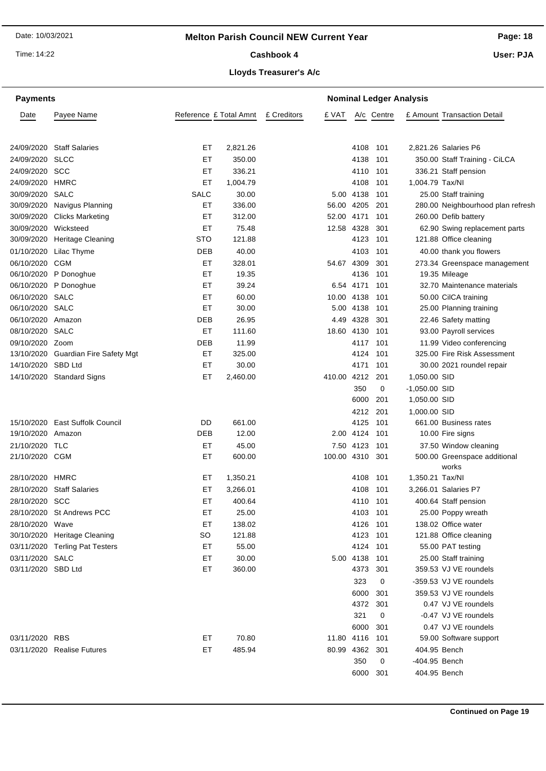Time: 14:22

# **Page: 18**

Cashbook 4

**User: PJA**

| <b>Payments</b>    |                                     |                        |                  | <b>Nominal Ledger Analysis</b> |                      |            |                 |                                               |
|--------------------|-------------------------------------|------------------------|------------------|--------------------------------|----------------------|------------|-----------------|-----------------------------------------------|
| Date               | Payee Name                          | Reference £ Total Amnt |                  | £ Creditors<br>£ VAT           |                      | A/c Centre |                 | £ Amount Transaction Detail                   |
|                    |                                     |                        |                  |                                |                      |            |                 |                                               |
|                    | 24/09/2020 Staff Salaries           | ET                     | 2,821.26         |                                | 4108                 | 101        |                 | 2,821.26 Salaries P6                          |
| 24/09/2020 SLCC    |                                     | EТ                     | 350.00           |                                | 4138                 | 101        |                 | 350.00 Staff Training - CiLCA                 |
| 24/09/2020 SCC     |                                     | ET                     | 336.21           |                                | 4110                 | 101        |                 | 336.21 Staff pension                          |
| 24/09/2020 HMRC    |                                     | ET                     | 1,004.79         |                                | 4108                 | 101        | 1,004.79 Tax/NI |                                               |
| 30/09/2020 SALC    |                                     | <b>SALC</b>            | 30.00            |                                | 5.00 4138            | 101        |                 | 25.00 Staff training                          |
| 30/09/2020         | Navigus Planning                    | ET                     | 336.00           |                                | 56.00 4205           | 201        |                 | 280.00 Neighbourhood plan refresh             |
| 30/09/2020         | <b>Clicks Marketing</b>             | ET                     | 312.00           |                                | 52.00 4171           | 101        |                 | 260.00 Defib battery                          |
| 30/09/2020         | Wicksteed                           | ET                     | 75.48            |                                | 12.58 4328           | 301        |                 | 62.90 Swing replacement parts                 |
|                    | 30/09/2020 Heritage Cleaning        | <b>STO</b>             | 121.88           |                                | 4123                 | 101        |                 | 121.88 Office cleaning                        |
|                    | 01/10/2020 Lilac Thyme              | DEB                    | 40.00            |                                | 4103                 | 101        |                 | 40.00 thank you flowers                       |
| 06/10/2020         | CGM                                 | ET                     | 328.01           |                                | 54.67 4309           | 301        |                 | 273.34 Greenspace management                  |
|                    | 06/10/2020 P Donoghue               | ET                     | 19.35            |                                | 4136                 | 101        |                 | 19.35 Mileage                                 |
|                    | 06/10/2020 P Donoghue               | ET                     | 39.24            |                                | 6.54 4171            | 101        |                 | 32.70 Maintenance materials                   |
| 06/10/2020 SALC    |                                     | EТ                     | 60.00            |                                | 10.00 4138           | 101        |                 | 50.00 CilCA training                          |
| 06/10/2020 SALC    |                                     | EТ                     | 30.00            |                                | 5.00 4138            | 101        |                 | 25.00 Planning training                       |
| 06/10/2020 Amazon  |                                     | DEB                    | 26.95            |                                | 4.49 4328            | 301        |                 | 22.46 Safety matting                          |
| 08/10/2020 SALC    |                                     | ET                     | 111.60           |                                | 18.60 4130           | 101        |                 | 93.00 Payroll services                        |
| 09/10/2020 Zoom    |                                     | <b>DEB</b>             | 11.99            |                                | 4117                 | 101        |                 | 11.99 Video conferencing                      |
|                    | 13/10/2020 Guardian Fire Safety Mgt | EТ                     | 325.00           |                                | 4124                 | 101        |                 | 325.00 Fire Risk Assessment                   |
| 14/10/2020 SBD Ltd |                                     | ET                     | 30.00            |                                | 4171                 | 101        |                 | 30.00 2021 roundel repair                     |
|                    | 14/10/2020 Standard Signs           | EТ                     | 2,460.00         | 410.00 4212                    |                      | 201        | 1,050.00 SID    |                                               |
|                    |                                     |                        |                  |                                | 350                  | 0          | $-1,050.00$ SID |                                               |
|                    |                                     |                        |                  |                                | 6000                 | 201        | 1,050.00 SID    |                                               |
|                    |                                     |                        |                  |                                | 4212                 | 201        | 1,000.00 SID    |                                               |
| 15/10/2020         | <b>East Suffolk Council</b>         | DD                     | 661.00           |                                | 4125                 | 101        |                 | 661.00 Business rates                         |
| 19/10/2020 Amazon  |                                     | <b>DEB</b>             | 12.00            |                                | 2.00 4124            | 101        |                 | 10.00 Fire signs                              |
| 21/10/2020 TLC     |                                     | EТ                     | 45.00            |                                | 7.50 4123            | 101        |                 | 37.50 Window cleaning                         |
| 21/10/2020 CGM     |                                     | EТ                     | 600.00           | 100.00 4310                    |                      | 301        |                 | 500.00 Greenspace additional                  |
| 28/10/2020 HMRC    |                                     | ET                     | 1,350.21         |                                | 4108                 | 101        | 1,350.21 Tax/NI | works                                         |
|                    | 28/10/2020 Staff Salaries           | ET                     | 3,266.01         |                                | 4108                 |            |                 | 3,266.01 Salaries P7                          |
|                    |                                     |                        |                  |                                |                      | 101        |                 |                                               |
| 28/10/2020 SCC     | 28/10/2020 St Andrews PCC           | ET<br>EТ               | 400.64<br>25.00  |                                |                      | 4110 101   |                 | 400.64 Staff pension<br>25.00 Poppy wreath    |
|                    |                                     |                        |                  |                                |                      | 4103 101   |                 |                                               |
| 28/10/2020 Wave    | 30/10/2020 Heritage Cleaning        | ET<br>SO               | 138.02<br>121.88 |                                | 4126 101<br>4123 101 |            |                 | 138.02 Office water<br>121.88 Office cleaning |
|                    | 03/11/2020 Terling Pat Testers      | ET                     | 55.00            |                                | 4124 101             |            |                 | 55.00 PAT testing                             |
| 03/11/2020 SALC    |                                     | ET                     | 30.00            |                                | 5.00 4138 101        |            |                 | 25.00 Staff training                          |
| 03/11/2020 SBD Ltd |                                     | ET                     | 360.00           |                                | 4373                 | 301        |                 | 359.53 VJ VE roundels                         |
|                    |                                     |                        |                  |                                | 323                  | 0          |                 | -359.53 VJ VE roundels                        |
|                    |                                     |                        |                  |                                | 6000                 |            |                 | 359.53 VJ VE roundels                         |
|                    |                                     |                        |                  |                                | 4372                 | 301<br>301 |                 | 0.47 VJ VE roundels                           |
|                    |                                     |                        |                  |                                | 321                  | 0          |                 | -0.47 VJ VE roundels                          |
|                    |                                     |                        |                  |                                | 6000                 | 301        |                 | 0.47 VJ VE roundels                           |
| 03/11/2020 RBS     |                                     | ET                     | 70.80            |                                | 11.80 4116           | -101       |                 | 59.00 Software support                        |
|                    | 03/11/2020 Realise Futures          | ET                     | 485.94           |                                | 80.99 4362 301       |            | 404.95 Bench    |                                               |
|                    |                                     |                        |                  |                                | 350                  | 0          | -404.95 Bench   |                                               |
|                    |                                     |                        |                  |                                | 6000                 | 301        | 404.95 Bench    |                                               |
|                    |                                     |                        |                  |                                |                      |            |                 |                                               |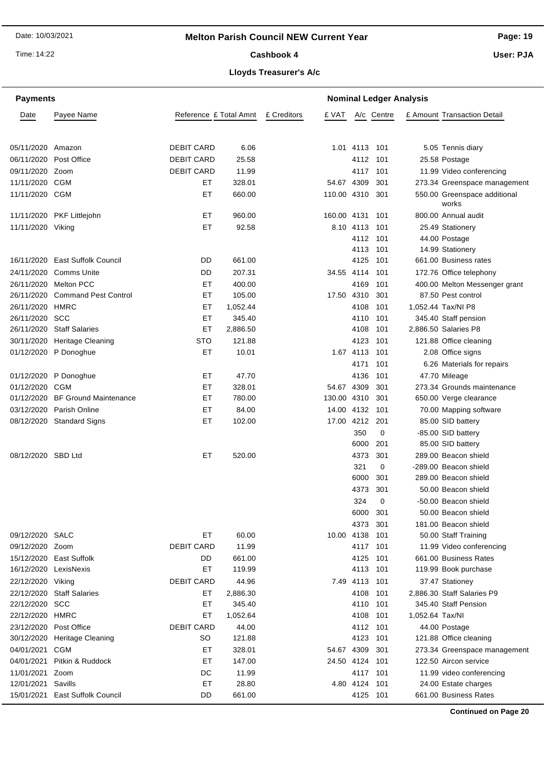# **Melton Parish Council NEW Current Year**

Time: 14:22

Cashbook 4

**Page: 19 User: PJA**

# **Lloyds Treasurer's A/c**

| <b>Payments</b>          |                                 |                        | <b>Nominal Ledger Analysis</b> |             |                 |                           |            |                 |                                               |
|--------------------------|---------------------------------|------------------------|--------------------------------|-------------|-----------------|---------------------------|------------|-----------------|-----------------------------------------------|
| Date                     | Payee Name                      | Reference £ Total Amnt |                                | £ Creditors | £ VAT           |                           | A/c Centre |                 | £ Amount Transaction Detail                   |
|                          |                                 |                        |                                |             |                 |                           |            |                 |                                               |
|                          |                                 |                        |                                |             |                 |                           |            |                 |                                               |
| 05/11/2020               | Amazon                          | <b>DEBIT CARD</b>      | 6.06                           |             |                 | 1.01 4113 101             |            |                 | 5.05 Tennis diary                             |
| 06/11/2020               | Post Office                     | <b>DEBIT CARD</b>      | 25.58                          |             |                 | 4112                      | 101        |                 | 25.58 Postage                                 |
| 09/11/2020               | Zoom                            | <b>DEBIT CARD</b>      | 11.99                          |             |                 | 4117                      | 101        |                 | 11.99 Video conferencing                      |
| 11/11/2020               | CGM                             | EТ                     | 328.01                         |             | 54.67 4309      |                           | 301        |                 | 273.34 Greenspace management                  |
| 11/11/2020 CGM           |                                 | EТ                     | 660.00                         |             | 110.00 4310 301 |                           |            |                 | 550.00 Greenspace additional<br>works         |
|                          | 11/11/2020 PKF Littlejohn       | ET                     | 960.00                         |             | 160.00 4131     |                           | 101        |                 | 800.00 Annual audit                           |
| 11/11/2020 Viking        |                                 | ET                     | 92.58                          |             |                 | 8.10 4113                 | 101        |                 | 25.49 Stationery                              |
|                          |                                 |                        |                                |             |                 | 4112 101                  |            |                 | 44.00 Postage                                 |
|                          |                                 |                        |                                |             |                 | 4113                      | 101        |                 | 14.99 Stationery                              |
| 16/11/2020               | <b>East Suffolk Council</b>     | DD                     | 661.00                         |             |                 | 4125                      | 101        |                 | 661.00 Business rates                         |
| 24/11/2020               | Comms Unite                     | DD                     | 207.31                         |             | 34.55 4114      |                           | 101        |                 | 172.76 Office telephony                       |
| 26/11/2020               | <b>Melton PCC</b>               | ET                     | 400.00                         |             |                 | 4169                      | 101        |                 | 400.00 Melton Messenger grant                 |
| 26/11/2020               | <b>Command Pest Control</b>     | ET                     | 105.00                         |             | 17.50 4310      |                           | 301        |                 | 87.50 Pest control                            |
| 26/11/2020               | HMRC                            | ET                     | 1,052.44                       |             |                 | 4108                      | 101        |                 | 1,052.44 Tax/NI P8                            |
| 26/11/2020               | scc                             | ET                     | 345.40                         |             |                 | 4110                      | 101        |                 | 345.40 Staff pension                          |
| 26/11/2020               | <b>Staff Salaries</b>           | ЕT                     | 2,886.50                       |             |                 | 4108                      | 101        |                 | 2,886.50 Salaries P8                          |
| 30/11/2020               | Heritage Cleaning               | STO                    | 121.88                         |             |                 | 4123                      | 101        |                 | 121.88 Office cleaning                        |
|                          | 01/12/2020 P Donoghue           | ET                     | 10.01                          |             |                 | 1.67 4113                 | 101        |                 | 2.08 Office signs                             |
|                          |                                 |                        |                                |             |                 | 4171                      | 101        |                 | 6.26 Materials for repairs                    |
| 01/12/2020               | P Donoghue                      | ET                     | 47.70                          |             |                 | 4136                      | 101        |                 | 47.70 Mileage                                 |
| 01/12/2020               | CGM                             | ET                     | 328.01                         |             | 54.67           | 4309                      | 301        |                 | 273.34 Grounds maintenance                    |
| 01/12/2020               | <b>BF Ground Maintenance</b>    | ET                     | 780.00                         |             | 130.00 4310     |                           | 301        |                 | 650.00 Verge clearance                        |
| 03/12/2020               | Parish Online                   | ET                     | 84.00                          |             | 14.00 4132      |                           | 101        |                 | 70.00 Mapping software                        |
| 08/12/2020               | <b>Standard Signs</b>           | ET                     | 102.00                         |             | 17.00           | 4212                      | -201       |                 | 85.00 SID battery                             |
|                          |                                 |                        |                                |             |                 | 350                       | 0          |                 | -85.00 SID battery                            |
|                          |                                 |                        |                                |             |                 | 6000                      | 201        |                 | 85.00 SID battery                             |
| 08/12/2020 SBD Ltd       |                                 | ET                     | 520.00                         |             |                 | 4373                      | 301        |                 | 289.00 Beacon shield                          |
|                          |                                 |                        |                                |             |                 | 321                       | 0          |                 | -289.00 Beacon shield                         |
|                          |                                 |                        |                                |             |                 | 6000                      | 301        |                 | 289.00 Beacon shield                          |
|                          |                                 |                        |                                |             |                 | 4373                      | 301        |                 | 50.00 Beacon shield                           |
|                          |                                 |                        |                                |             |                 | 324                       | 0          |                 | -50.00 Beacon shield                          |
|                          |                                 |                        |                                |             |                 | 6000                      | 301        |                 | 50.00 Beacon shield                           |
|                          |                                 |                        |                                |             |                 | 4373                      | 301        |                 | 181.00 Beacon shield                          |
| 09/12/2020 SALC          |                                 | EТ                     | 60.00                          |             | 10.00 4138 101  |                           |            |                 | 50.00 Staff Training                          |
| 09/12/2020 Zoom          |                                 | <b>DEBIT CARD</b>      | 11.99                          |             |                 | 4117 101                  |            |                 | 11.99 Video conferencing                      |
|                          | 15/12/2020 East Suffolk         | DD<br>ET               | 661.00                         |             |                 | 4125                      | 101        |                 | 661.00 Business Rates                         |
| 16/12/2020 LexisNexis    |                                 |                        | 119.99                         |             |                 | 4113 101                  |            |                 | 119.99 Book purchase                          |
| 22/12/2020 Viking        |                                 | <b>DEBIT CARD</b>      | 44.96                          |             |                 | 7.49 4113 101             |            |                 | 37.47 Stationey                               |
|                          | 22/12/2020 Staff Salaries       | ET                     | 2,886.30                       |             |                 | 4108 101                  |            |                 | 2,886.30 Staff Salaries P9                    |
| 22/12/2020 SCC           |                                 | ET                     | 345.40                         |             |                 | 4110                      | 101        |                 | 345.40 Staff Pension                          |
| 22/12/2020 HMRC          |                                 | ET                     | 1,052.64                       |             |                 | 4108                      | 101        | 1,052.64 Tax/NI |                                               |
| 23/12/2020               | Post Office                     | <b>DEBIT CARD</b>      | 44.00                          |             |                 | 4112 101                  |            |                 | 44.00 Postage                                 |
|                          | 30/12/2020 Heritage Cleaning    | SO                     | 121.88                         |             |                 | 4123                      | 101        |                 | 121.88 Office cleaning                        |
| 04/01/2021               | CGM                             | ET                     | 328.01                         |             | 54.67 4309      |                           | 301        |                 | 273.34 Greenspace management                  |
| 04/01/2021               | Pitkin & Ruddock                | ET                     | 147.00                         |             | 24.50 4124      |                           | 101        |                 | 122.50 Aircon service                         |
| 11/01/2021 Zoom          |                                 | DC<br>ET               | 11.99                          |             |                 | 4117 101<br>4.80 4124 101 |            |                 | 11.99 video conferencing                      |
| 12/01/2021<br>15/01/2021 | Savills<br>East Suffolk Council | DD                     | 28.80<br>661.00                |             |                 | 4125 101                  |            |                 | 24.00 Estate charges<br>661.00 Business Rates |